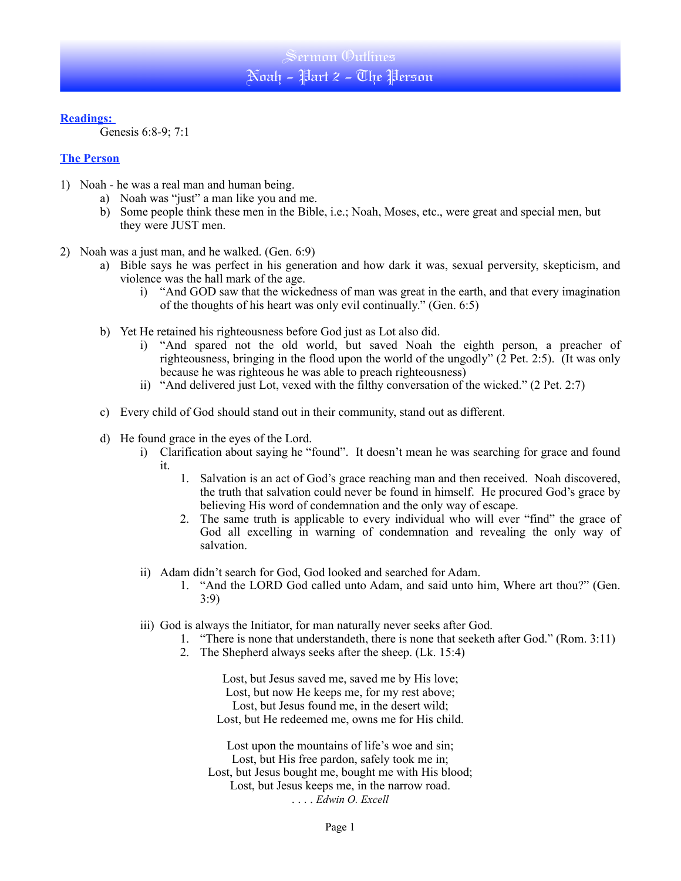## **Readings:**

Genesis 6:8-9; 7:1

## **The Person**

- 1) Noah he was a real man and human being.
	- a) Noah was "just" a man like you and me.
	- b) Some people think these men in the Bible, i.e.; Noah, Moses, etc., were great and special men, but they were JUST men.
- 2) Noah was a just man, and he walked. (Gen. 6:9)
	- a) Bible says he was perfect in his generation and how dark it was, sexual perversity, skepticism, and violence was the hall mark of the age.
		- i) "And GOD saw that the wickedness of man was great in the earth, and that every imagination of the thoughts of his heart was only evil continually." (Gen. 6:5)
	- b) Yet He retained his righteousness before God just as Lot also did.
		- i) "And spared not the old world, but saved Noah the eighth person, a preacher of righteousness, bringing in the flood upon the world of the ungodly" (2 Pet. 2:5). (It was only because he was righteous he was able to preach righteousness)
		- ii) "And delivered just Lot, vexed with the filthy conversation of the wicked." (2 Pet. 2:7)
	- c) Every child of God should stand out in their community, stand out as different.
	- d) He found grace in the eyes of the Lord.
		- i) Clarification about saying he "found". It doesn't mean he was searching for grace and found it.
			- 1. Salvation is an act of God's grace reaching man and then received. Noah discovered, the truth that salvation could never be found in himself. He procured God's grace by believing His word of condemnation and the only way of escape.
			- 2. The same truth is applicable to every individual who will ever "find" the grace of God all excelling in warning of condemnation and revealing the only way of salvation.
		- ii) Adam didn't search for God, God looked and searched for Adam.
			- 1. "And the LORD God called unto Adam, and said unto him, Where art thou?" (Gen. 3:9)
		- iii) God is always the Initiator, for man naturally never seeks after God.
			- 1. "There is none that understandeth, there is none that seeketh after God." (Rom. 3:11)
			- 2. The Shepherd always seeks after the sheep. (Lk. 15:4)

Lost, but Jesus saved me, saved me by His love; Lost, but now He keeps me, for my rest above; Lost, but Jesus found me, in the desert wild; Lost, but He redeemed me, owns me for His child.

Lost upon the mountains of life's woe and sin; Lost, but His free pardon, safely took me in; Lost, but Jesus bought me, bought me with His blood; Lost, but Jesus keeps me, in the narrow road. . . . . *Edwin O. Excell*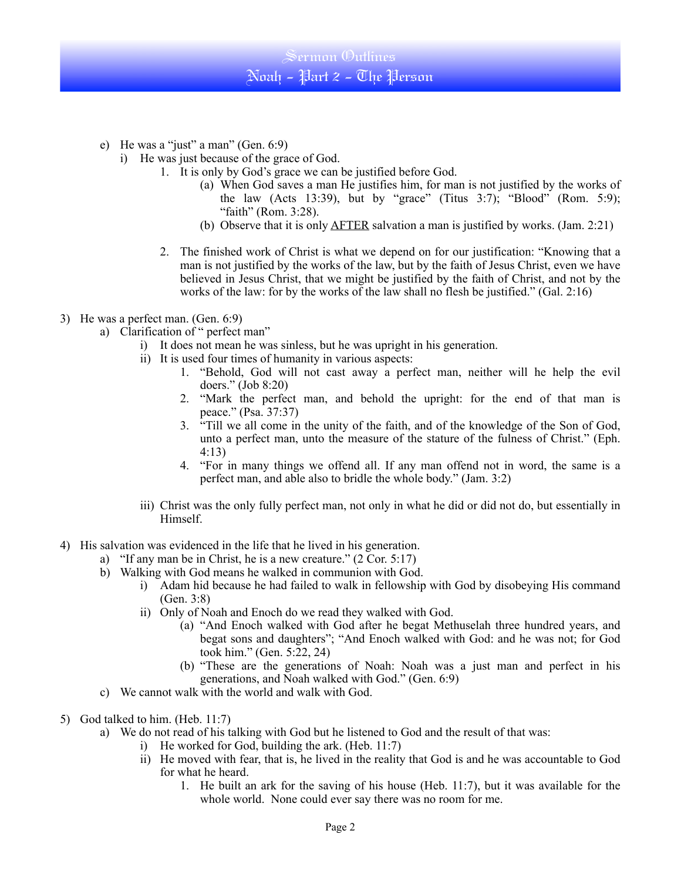

- e) He was a "just" a man" (Gen. 6:9)
	- i) He was just because of the grace of God.
		- 1. It is only by God's grace we can be justified before God.
			- (a) When God saves a man He justifies him, for man is not justified by the works of the law (Acts 13:39), but by "grace" (Titus 3:7); "Blood" (Rom. 5:9); "faith" (Rom. 3:28).
			- (b) Observe that it is only  $\triangle$ FTER salvation a man is justified by works. (Jam. 2:21)
		- 2. The finished work of Christ is what we depend on for our justification: "Knowing that a man is not justified by the works of the law, but by the faith of Jesus Christ, even we have believed in Jesus Christ, that we might be justified by the faith of Christ, and not by the works of the law: for by the works of the law shall no flesh be justified." (Gal. 2:16)
- 3) He was a perfect man. (Gen. 6:9)
	- a) Clarification of " perfect man"
		- i) It does not mean he was sinless, but he was upright in his generation.
		- ii) It is used four times of humanity in various aspects:
			- 1. "Behold, God will not cast away a perfect man, neither will he help the evil doers." (Job 8:20)
			- 2. "Mark the perfect man, and behold the upright: for the end of that man is peace." (Psa. 37:37)
			- 3. "Till we all come in the unity of the faith, and of the knowledge of the Son of God, unto a perfect man, unto the measure of the stature of the fulness of Christ." (Eph. 4:13)
			- 4. "For in many things we offend all. If any man offend not in word, the same is a perfect man, and able also to bridle the whole body." (Jam. 3:2)
		- iii) Christ was the only fully perfect man, not only in what he did or did not do, but essentially in Himself.
- 4) His salvation was evidenced in the life that he lived in his generation.
	- a) "If any man be in Christ, he is a new creature." (2 Cor. 5:17)
	- b) Walking with God means he walked in communion with God.
		- i) Adam hid because he had failed to walk in fellowship with God by disobeying His command (Gen. 3:8)
		- ii) Only of Noah and Enoch do we read they walked with God.
			- (a) "And Enoch walked with God after he begat Methuselah three hundred years, and begat sons and daughters"; "And Enoch walked with God: and he was not; for God took him." (Gen. 5:22, 24)
			- (b) "These are the generations of Noah: Noah was a just man and perfect in his generations, and Noah walked with God." (Gen. 6:9)
	- c) We cannot walk with the world and walk with God.
- 5) God talked to him. (Heb. 11:7)
	- a) We do not read of his talking with God but he listened to God and the result of that was:
		- i) He worked for God, building the ark. (Heb. 11:7)
			- ii) He moved with fear, that is, he lived in the reality that God is and he was accountable to God for what he heard.
				- 1. He built an ark for the saving of his house (Heb. 11:7), but it was available for the whole world. None could ever say there was no room for me.